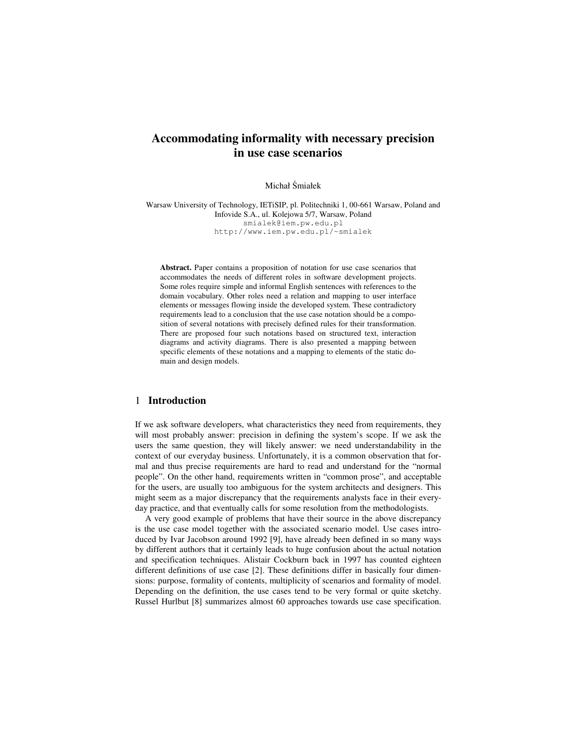# **Accommodating informality with necessary precision in use case scenarios**

Michał Śmiałek

Warsaw University of Technology, IETiSIP, pl. Politechniki 1, 00-661 Warsaw, Poland and Infovide S.A., ul. Kolejowa 5/7, Warsaw, Poland smialek@iem.pw.edu.pl http://www.iem.pw.edu.pl/~smialek

**Abstract.** Paper contains a proposition of notation for use case scenarios that accommodates the needs of different roles in software development projects. Some roles require simple and informal English sentences with references to the domain vocabulary. Other roles need a relation and mapping to user interface elements or messages flowing inside the developed system. These contradictory requirements lead to a conclusion that the use case notation should be a composition of several notations with precisely defined rules for their transformation. There are proposed four such notations based on structured text, interaction diagrams and activity diagrams. There is also presented a mapping between specific elements of these notations and a mapping to elements of the static domain and design models.

#### 1 **Introduction**

If we ask software developers, what characteristics they need from requirements, they will most probably answer: precision in defining the system's scope. If we ask the users the same question, they will likely answer: we need understandability in the context of our everyday business. Unfortunately, it is a common observation that formal and thus precise requirements are hard to read and understand for the "normal people". On the other hand, requirements written in "common prose", and acceptable for the users, are usually too ambiguous for the system architects and designers. This might seem as a major discrepancy that the requirements analysts face in their everyday practice, and that eventually calls for some resolution from the methodologists.

A very good example of problems that have their source in the above discrepancy is the use case model together with the associated scenario model. Use cases introduced by Ivar Jacobson around 1992 [9], have already been defined in so many ways by different authors that it certainly leads to huge confusion about the actual notation and specification techniques. Alistair Cockburn back in 1997 has counted eighteen different definitions of use case [2]. These definitions differ in basically four dimensions: purpose, formality of contents, multiplicity of scenarios and formality of model. Depending on the definition, the use cases tend to be very formal or quite sketchy. Russel Hurlbut [8] summarizes almost 60 approaches towards use case specification.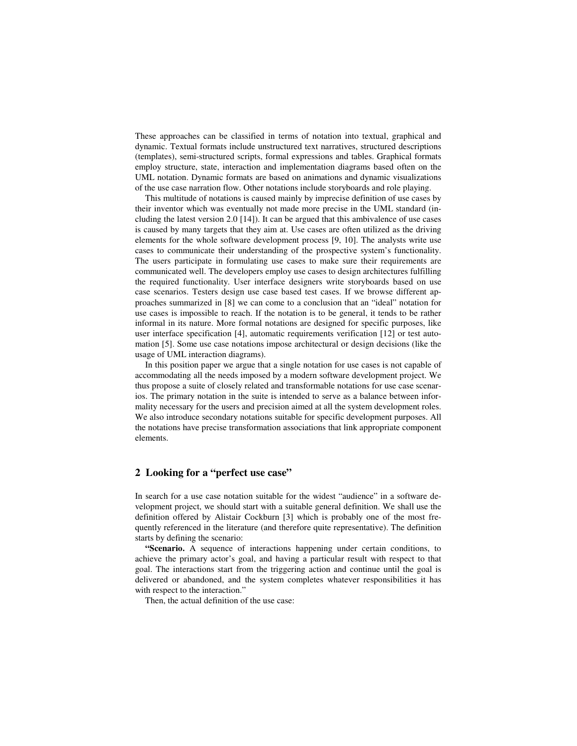These approaches can be classified in terms of notation into textual, graphical and dynamic. Textual formats include unstructured text narratives, structured descriptions (templates), semi-structured scripts, formal expressions and tables. Graphical formats employ structure, state, interaction and implementation diagrams based often on the UML notation. Dynamic formats are based on animations and dynamic visualizations of the use case narration flow. Other notations include storyboards and role playing.

This multitude of notations is caused mainly by imprecise definition of use cases by their inventor which was eventually not made more precise in the UML standard (including the latest version 2.0 [14]). It can be argued that this ambivalence of use cases is caused by many targets that they aim at. Use cases are often utilized as the driving elements for the whole software development process [9, 10]. The analysts write use cases to communicate their understanding of the prospective system's functionality. The users participate in formulating use cases to make sure their requirements are communicated well. The developers employ use cases to design architectures fulfilling the required functionality. User interface designers write storyboards based on use case scenarios. Testers design use case based test cases. If we browse different approaches summarized in [8] we can come to a conclusion that an "ideal" notation for use cases is impossible to reach. If the notation is to be general, it tends to be rather informal in its nature. More formal notations are designed for specific purposes, like user interface specification [4], automatic requirements verification [12] or test automation [5]. Some use case notations impose architectural or design decisions (like the usage of UML interaction diagrams).

In this position paper we argue that a single notation for use cases is not capable of accommodating all the needs imposed by a modern software development project. We thus propose a suite of closely related and transformable notations for use case scenarios. The primary notation in the suite is intended to serve as a balance between informality necessary for the users and precision aimed at all the system development roles. We also introduce secondary notations suitable for specific development purposes. All the notations have precise transformation associations that link appropriate component elements.

#### **2 Looking for a "perfect use case"**

In search for a use case notation suitable for the widest "audience" in a software development project, we should start with a suitable general definition. We shall use the definition offered by Alistair Cockburn [3] which is probably one of the most frequently referenced in the literature (and therefore quite representative). The definition starts by defining the scenario:

**"Scenario.** A sequence of interactions happening under certain conditions, to achieve the primary actor's goal, and having a particular result with respect to that goal. The interactions start from the triggering action and continue until the goal is delivered or abandoned, and the system completes whatever responsibilities it has with respect to the interaction."

Then, the actual definition of the use case: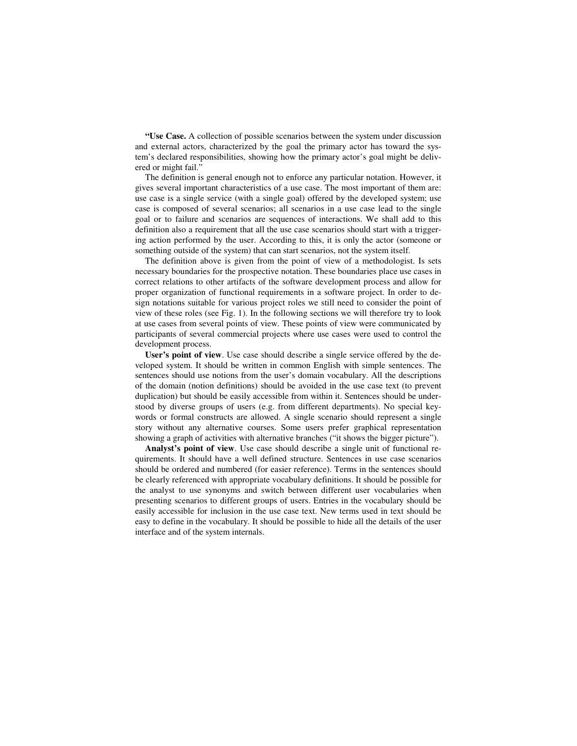**"Use Case.** A collection of possible scenarios between the system under discussion and external actors, characterized by the goal the primary actor has toward the system's declared responsibilities, showing how the primary actor's goal might be delivered or might fail."

The definition is general enough not to enforce any particular notation. However, it gives several important characteristics of a use case. The most important of them are: use case is a single service (with a single goal) offered by the developed system; use case is composed of several scenarios; all scenarios in a use case lead to the single goal or to failure and scenarios are sequences of interactions. We shall add to this definition also a requirement that all the use case scenarios should start with a triggering action performed by the user. According to this, it is only the actor (someone or something outside of the system) that can start scenarios, not the system itself.

The definition above is given from the point of view of a methodologist. Is sets necessary boundaries for the prospective notation. These boundaries place use cases in correct relations to other artifacts of the software development process and allow for proper organization of functional requirements in a software project. In order to design notations suitable for various project roles we still need to consider the point of view of these roles (see Fig. 1). In the following sections we will therefore try to look at use cases from several points of view. These points of view were communicated by participants of several commercial projects where use cases were used to control the development process.

**User's point of view**. Use case should describe a single service offered by the developed system. It should be written in common English with simple sentences. The sentences should use notions from the user's domain vocabulary. All the descriptions of the domain (notion definitions) should be avoided in the use case text (to prevent duplication) but should be easily accessible from within it. Sentences should be understood by diverse groups of users (e.g. from different departments). No special keywords or formal constructs are allowed. A single scenario should represent a single story without any alternative courses. Some users prefer graphical representation showing a graph of activities with alternative branches ("it shows the bigger picture").

**Analyst's point of view**. Use case should describe a single unit of functional requirements. It should have a well defined structure. Sentences in use case scenarios should be ordered and numbered (for easier reference). Terms in the sentences should be clearly referenced with appropriate vocabulary definitions. It should be possible for the analyst to use synonyms and switch between different user vocabularies when presenting scenarios to different groups of users. Entries in the vocabulary should be easily accessible for inclusion in the use case text. New terms used in text should be easy to define in the vocabulary. It should be possible to hide all the details of the user interface and of the system internals.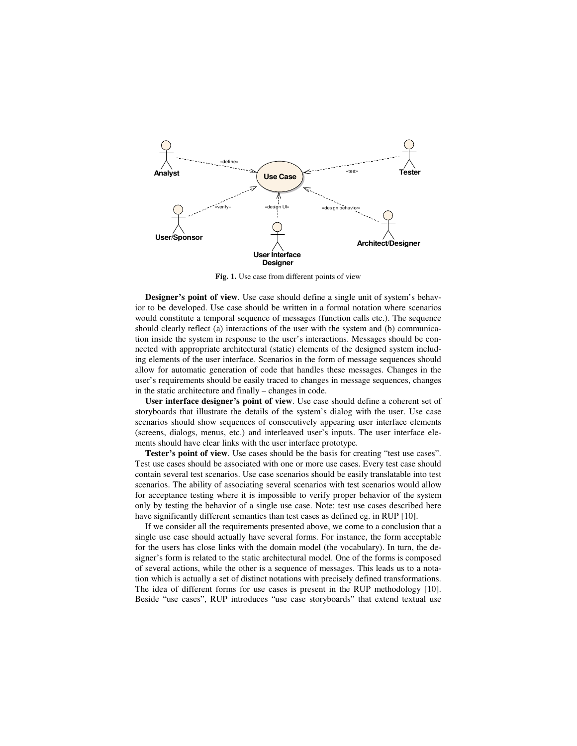

**Fig. 1.** Use case from different points of view

**Designer's point of view**. Use case should define a single unit of system's behavior to be developed. Use case should be written in a formal notation where scenarios would constitute a temporal sequence of messages (function calls etc.). The sequence should clearly reflect (a) interactions of the user with the system and (b) communication inside the system in response to the user's interactions. Messages should be connected with appropriate architectural (static) elements of the designed system including elements of the user interface. Scenarios in the form of message sequences should allow for automatic generation of code that handles these messages. Changes in the user's requirements should be easily traced to changes in message sequences, changes in the static architecture and finally – changes in code.

**User interface designer's point of view**. Use case should define a coherent set of storyboards that illustrate the details of the system's dialog with the user. Use case scenarios should show sequences of consecutively appearing user interface elements (screens, dialogs, menus, etc.) and interleaved user's inputs. The user interface elements should have clear links with the user interface prototype.

**Tester's point of view**. Use cases should be the basis for creating "test use cases". Test use cases should be associated with one or more use cases. Every test case should contain several test scenarios. Use case scenarios should be easily translatable into test scenarios. The ability of associating several scenarios with test scenarios would allow for acceptance testing where it is impossible to verify proper behavior of the system only by testing the behavior of a single use case. Note: test use cases described here have significantly different semantics than test cases as defined eg. in RUP [10].

If we consider all the requirements presented above, we come to a conclusion that a single use case should actually have several forms. For instance, the form acceptable for the users has close links with the domain model (the vocabulary). In turn, the designer's form is related to the static architectural model. One of the forms is composed of several actions, while the other is a sequence of messages. This leads us to a notation which is actually a set of distinct notations with precisely defined transformations. The idea of different forms for use cases is present in the RUP methodology [10]. Beside "use cases", RUP introduces "use case storyboards" that extend textual use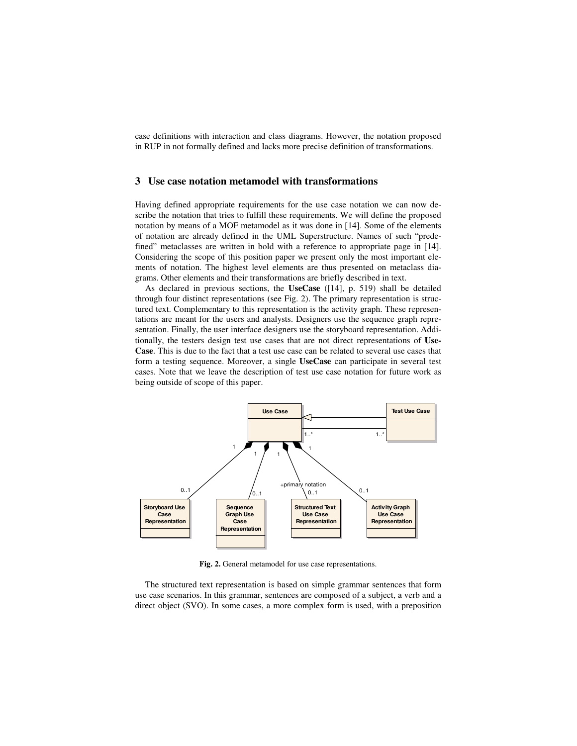case definitions with interaction and class diagrams. However, the notation proposed in RUP in not formally defined and lacks more precise definition of transformations.

## **3 Use case notation metamodel with transformations**

Having defined appropriate requirements for the use case notation we can now describe the notation that tries to fulfill these requirements. We will define the proposed notation by means of a MOF metamodel as it was done in [14]. Some of the elements of notation are already defined in the UML Superstructure. Names of such "predefined" metaclasses are written in bold with a reference to appropriate page in [14]. Considering the scope of this position paper we present only the most important elements of notation. The highest level elements are thus presented on metaclass diagrams. Other elements and their transformations are briefly described in text.

As declared in previous sections, the **UseCase** ([14], p. 519) shall be detailed through four distinct representations (see Fig. 2). The primary representation is structured text. Complementary to this representation is the activity graph. These representations are meant for the users and analysts. Designers use the sequence graph representation. Finally, the user interface designers use the storyboard representation. Additionally, the testers design test use cases that are not direct representations of **Use-Case**. This is due to the fact that a test use case can be related to several use cases that form a testing sequence. Moreover, a single **UseCase** can participate in several test cases. Note that we leave the description of test use case notation for future work as being outside of scope of this paper.



**Fig. 2.** General metamodel for use case representations.

The structured text representation is based on simple grammar sentences that form use case scenarios. In this grammar, sentences are composed of a subject, a verb and a direct object (SVO). In some cases, a more complex form is used, with a preposition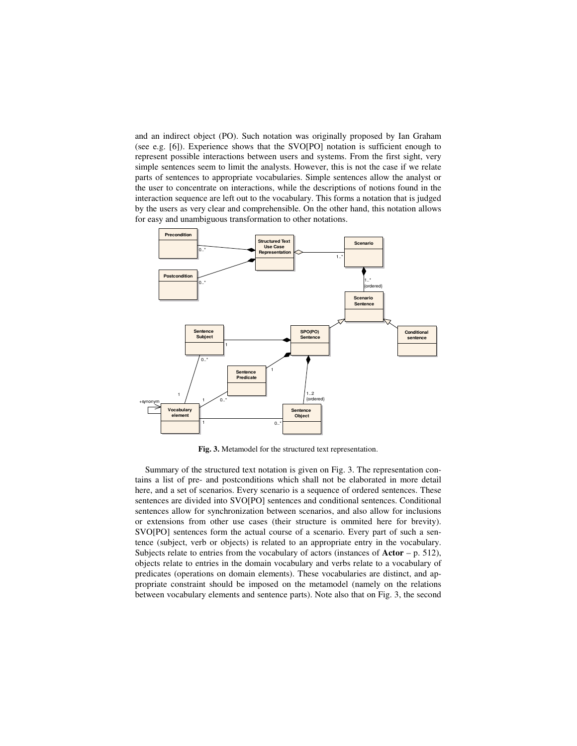and an indirect object (PO). Such notation was originally proposed by Ian Graham (see e.g. [6]). Experience shows that the SVO[PO] notation is sufficient enough to represent possible interactions between users and systems. From the first sight, very simple sentences seem to limit the analysts. However, this is not the case if we relate parts of sentences to appropriate vocabularies. Simple sentences allow the analyst or the user to concentrate on interactions, while the descriptions of notions found in the interaction sequence are left out to the vocabulary. This forms a notation that is judged by the users as very clear and comprehensible. On the other hand, this notation allows for easy and unambiguous transformation to other notations.



**Fig. 3.** Metamodel for the structured text representation.

Summary of the structured text notation is given on Fig. 3. The representation contains a list of pre- and postconditions which shall not be elaborated in more detail here, and a set of scenarios. Every scenario is a sequence of ordered sentences. These sentences are divided into SVO[PO] sentences and conditional sentences. Conditional sentences allow for synchronization between scenarios, and also allow for inclusions or extensions from other use cases (their structure is ommited here for brevity). SVO[PO] sentences form the actual course of a scenario. Every part of such a sentence (subject, verb or objects) is related to an appropriate entry in the vocabulary. Subjects relate to entries from the vocabulary of actors (instances of **Actor** – p. 512), objects relate to entries in the domain vocabulary and verbs relate to a vocabulary of predicates (operations on domain elements). These vocabularies are distinct, and appropriate constraint should be imposed on the metamodel (namely on the relations between vocabulary elements and sentence parts). Note also that on Fig. 3, the second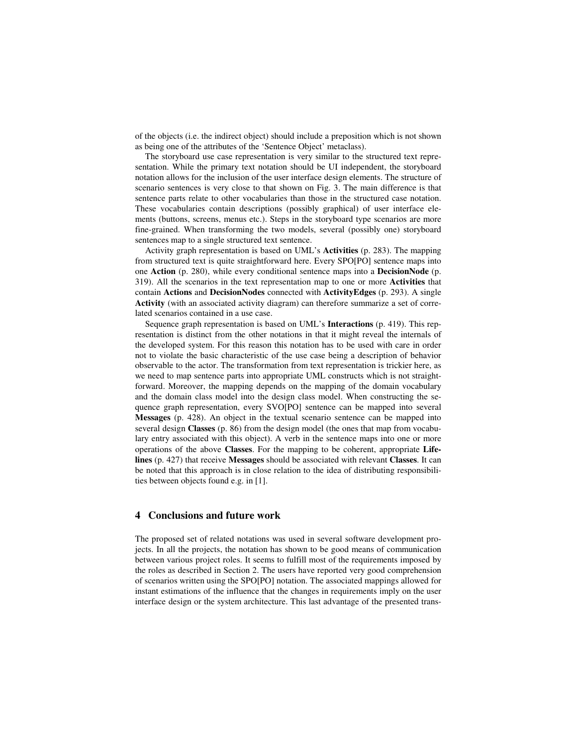of the objects (i.e. the indirect object) should include a preposition which is not shown as being one of the attributes of the 'Sentence Object' metaclass).

The storyboard use case representation is very similar to the structured text representation. While the primary text notation should be UI independent, the storyboard notation allows for the inclusion of the user interface design elements. The structure of scenario sentences is very close to that shown on Fig. 3. The main difference is that sentence parts relate to other vocabularies than those in the structured case notation. These vocabularies contain descriptions (possibly graphical) of user interface elements (buttons, screens, menus etc.). Steps in the storyboard type scenarios are more fine-grained. When transforming the two models, several (possibly one) storyboard sentences map to a single structured text sentence.

Activity graph representation is based on UML's **Activities** (p. 283). The mapping from structured text is quite straightforward here. Every SPO[PO] sentence maps into one **Action** (p. 280), while every conditional sentence maps into a **DecisionNode** (p. 319). All the scenarios in the text representation map to one or more **Activities** that contain **Actions** and **DecisionNodes** connected with **ActivityEdges** (p. 293). A single **Activity** (with an associated activity diagram) can therefore summarize a set of correlated scenarios contained in a use case.

Sequence graph representation is based on UML's **Interactions** (p. 419). This representation is distinct from the other notations in that it might reveal the internals of the developed system. For this reason this notation has to be used with care in order not to violate the basic characteristic of the use case being a description of behavior observable to the actor. The transformation from text representation is trickier here, as we need to map sentence parts into appropriate UML constructs which is not straightforward. Moreover, the mapping depends on the mapping of the domain vocabulary and the domain class model into the design class model. When constructing the sequence graph representation, every SVO[PO] sentence can be mapped into several **Messages** (p. 428). An object in the textual scenario sentence can be mapped into several design **Classes** (p. 86) from the design model (the ones that map from vocabulary entry associated with this object). A verb in the sentence maps into one or more operations of the above **Classes**. For the mapping to be coherent, appropriate **Lifelines** (p. 427) that receive **Messages** should be associated with relevant **Classes**. It can be noted that this approach is in close relation to the idea of distributing responsibilities between objects found e.g. in [1].

## **4 Conclusions and future work**

The proposed set of related notations was used in several software development projects. In all the projects, the notation has shown to be good means of communication between various project roles. It seems to fulfill most of the requirements imposed by the roles as described in Section 2. The users have reported very good comprehension of scenarios written using the SPO[PO] notation. The associated mappings allowed for instant estimations of the influence that the changes in requirements imply on the user interface design or the system architecture. This last advantage of the presented trans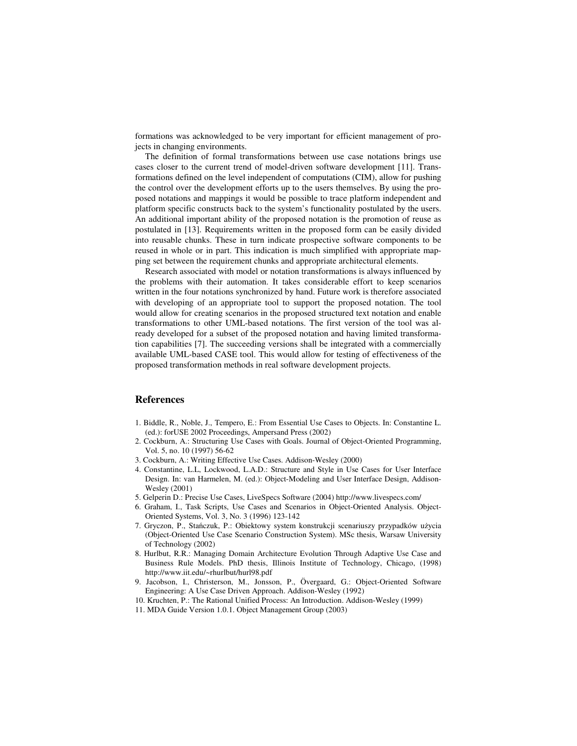formations was acknowledged to be very important for efficient management of projects in changing environments.

The definition of formal transformations between use case notations brings use cases closer to the current trend of model-driven software development [11]. Transformations defined on the level independent of computations (CIM), allow for pushing the control over the development efforts up to the users themselves. By using the proposed notations and mappings it would be possible to trace platform independent and platform specific constructs back to the system's functionality postulated by the users. An additional important ability of the proposed notation is the promotion of reuse as postulated in [13]. Requirements written in the proposed form can be easily divided into reusable chunks. These in turn indicate prospective software components to be reused in whole or in part. This indication is much simplified with appropriate mapping set between the requirement chunks and appropriate architectural elements.

Research associated with model or notation transformations is always influenced by the problems with their automation. It takes considerable effort to keep scenarios written in the four notations synchronized by hand. Future work is therefore associated with developing of an appropriate tool to support the proposed notation. The tool would allow for creating scenarios in the proposed structured text notation and enable transformations to other UML-based notations. The first version of the tool was already developed for a subset of the proposed notation and having limited transformation capabilities [7]. The succeeding versions shall be integrated with a commercially available UML-based CASE tool. This would allow for testing of effectiveness of the proposed transformation methods in real software development projects.

## **References**

- 1. Biddle, R., Noble, J., Tempero, E.: From Essential Use Cases to Objects. In: Constantine L. (ed.): forUSE 2002 Proceedings, Ampersand Press (2002)
- 2. Cockburn, A.: Structuring Use Cases with Goals. Journal of Object-Oriented Programming, Vol. 5, no. 10 (1997) 56-62
- 3. Cockburn, A.: Writing Effective Use Cases. Addison-Wesley (2000)
- 4. Constantine, L.L, Lockwood, L.A.D.: Structure and Style in Use Cases for User Interface Design. In: van Harmelen, M. (ed.): Object-Modeling and User Interface Design, Addison-Wesley (2001)
- 5. Gelperin D.: Precise Use Cases, LiveSpecs Software (2004) http://www.livespecs.com/
- 6. Graham, I., Task Scripts, Use Cases and Scenarios in Object-Oriented Analysis. Object-Oriented Systems, Vol. 3, No. 3 (1996) 123-142
- 7. Gryczon, P., Stańczuk, P.: Obiektowy system konstrukcji scenariuszy przypadków użycia (Object-Oriented Use Case Scenario Construction System). MSc thesis, Warsaw University of Technology (2002)
- 8. Hurlbut, R.R.: Managing Domain Architecture Evolution Through Adaptive Use Case and Business Rule Models. PhD thesis, Illinois Institute of Technology, Chicago, (1998) http://www.iit.edu/~rhurlbut/hurl98.pdf
- 9. Jacobson, I., Christerson, M., Jonsson, P., Övergaard, G.: Object-Oriented Software Engineering: A Use Case Driven Approach. Addison-Wesley (1992)
- 10. Kruchten, P.: The Rational Unified Process: An Introduction. Addison-Wesley (1999)
- 11. MDA Guide Version 1.0.1. Object Management Group (2003)